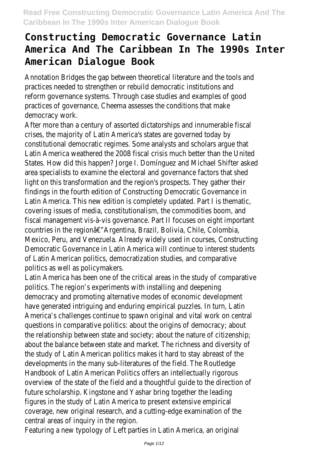Annotation Bridges the gap between theoretical literature and the practices needed to strengthen or rebuild democratic institutions reform governance systems. Through case studies and examples practices of governance, Cheema assesses the conditions that democracy work

After more than a century of assorted dictatorships and innumera crises, the majority of Latin America's states are governed constitutional democratic regimes. Some analysts and scholars are Latin America weathered the 2008 fiscal crisis much better than the United States. How did this happen? Jorge I. Dominguez and Michael Shif area specialists to examine the electoral and governance factors that light on this transformation and the region's prospects. They gat findings in the fourth edition of Constructing Democratic Governance in the fourth edition of Constructing Democratic Governance in the fourth edition of Construction and the mocratic Governance in the fourth of the findin Latin America. This new edition is completely updated. Part  $\overline{\phantom{a}}$  is the matric system of the matric, Part I is covering issues of media, constitutionalism, the commodities boom fiscal management vis-à-vis governance. Part II focuses on eight important in countries in the regionâ€"Argentina, Brazil, Bolivia, Chile, C Mexico, Peru, and Venezuela. Already widely used in courses, Con Democratic Governance in Latin America will continue to interest of Latin American politics, democratization studies, and con politics as well as policymak

Latin America has been one of the critical areas in the study of comparative to politics. The region's experiments with installing and de democracy and promoting alternative modes of economic development of have generated intriguing and enduring empirical puzzles. In tu America's challenges continue to spawn original and vital work on questions in comparative politics: about the origins of democra the relationship between state and society; about the nature of c about the balance between state and market. The richness and di the study of Latin American politics makes it hard to stay abreastive. developments in the many sub-literatures of the field. The R Handbook of Latin American Politics offers an intellectually overview of the state of the field and a thoughtful guide to the direction of the state of the state of the of future scholarship. Kingstone and Yashar bring together the figures in the study of Latin America to present extensive coverage, new original research, and a cutting-edge examination central areas of inquiry in the region.

Featuring a new typology of Left parties in Latin America, an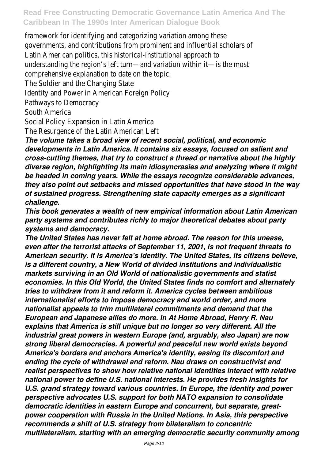framework for identifying and categorizing variation among governments, and contributions from prominent and influential so Latin American politics, this historical-institutional appr understanding the region's left turn—and variation within it—is comprehensive explanation to date on the The Soldier and the Changing State Identity and Power in American Foreign Pathways to Democra South Americ Social Policy Expansion in Latin Am

The Resurgence of the Latin Americar

*The volume takes a broad view of recent social, political, and economic developments in Latin America. It contains six essays, focused on salient and cross-cutting themes, that try to construct a thread or narrative about the highly diverse region, highlighting its main idiosyncrasies and analyzing where it might be headed in coming years. While the essays recognize considerable advances, they also point out setbacks and missed opportunities that have stood in the way of sustained progress. Strengthening state capacity emerges as a significant challenge.*

*This book generates a wealth of new empirical information about Latin American party systems and contributes richly to major theoretical debates about party systems and democracy.*

*The United States has never felt at home abroad. The reason for this unease, even after the terrorist attacks of September 11, 2001, is not frequent threats to American security. It is America's identity. The United States, its citizens believe, is a different country, a New World of divided institutions and individualistic markets surviving in an Old World of nationalistic governments and statist economies. In this Old World, the United States finds no comfort and alternately tries to withdraw from it and reform it. America cycles between ambitious internationalist efforts to impose democracy and world order, and more nationalist appeals to trim multilateral commitments and demand that the European and Japanese allies do more. In At Home Abroad, Henry R. Nau explains that America is still unique but no longer so very different. All the industrial great powers in western Europe (and, arguably, also Japan) are now strong liberal democracies. A powerful and peaceful new world exists beyond America's borders and anchors America's identity, easing its discomfort and ending the cycle of withdrawal and reform. Nau draws on constructivist and realist perspectives to show how relative national identities interact with relative national power to define U.S. national interests. He provides fresh insights for U.S. grand strategy toward various countries. In Europe, the identity and power perspective advocates U.S. support for both NATO expansion to consolidate democratic identities in eastern Europe and concurrent, but separate, greatpower cooperation with Russia in the United Nations. In Asia, this perspective recommends a shift of U.S. strategy from bilateralism to concentric multilateralism, starting with an emerging democratic security community among*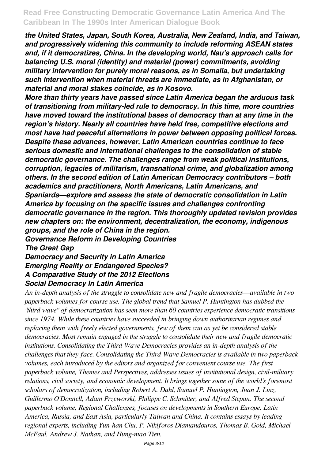*the United States, Japan, South Korea, Australia, New Zealand, India, and Taiwan, and progressively widening this community to include reforming ASEAN states and, if it democratizes, China. In the developing world, Nau's approach calls for balancing U.S. moral (identity) and material (power) commitments, avoiding military intervention for purely moral reasons, as in Somalia, but undertaking such intervention when material threats are immediate, as in Afghanistan, or material and moral stakes coincide, as in Kosovo.*

*More than thirty years have passed since Latin America began the arduous task of transitioning from military-led rule to democracy. In this time, more countries have moved toward the institutional bases of democracy than at any time in the region's history. Nearly all countries have held free, competitive elections and most have had peaceful alternations in power between opposing political forces. Despite these advances, however, Latin American countries continue to face serious domestic and international challenges to the consolidation of stable democratic governance. The challenges range from weak political institutions, corruption, legacies of militarism, transnational crime, and globalization among others. In the second edition of Latin American Democracy contributors – both academics and practitioners, North Americans, Latin Americans, and Spaniards—explore and assess the state of democratic consolidation in Latin America by focusing on the specific issues and challenges confronting democratic governance in the region. This thoroughly updated revision provides new chapters on: the environment, decentralization, the economy, indigenous groups, and the role of China in the region. Governance Reform in Developing Countries*

*The Great Gap*

*Democracy and Security in Latin America Emerging Reality or Endangered Species? A Comparative Study of the 2012 Elections Social Democracy In Latin America*

*An in-depth analysis of the struggle to consolidate new and fragile democracies—available in two paperback volumes for course use. The global trend that Samuel P. Huntington has dubbed the "third wave" of democratization has seen more than 60 countries experience democratic transitions since 1974. While these countries have succeeded in bringing down authoritarian regimes and replacing them with freely elected governments, few of them can as yet be considered stable democracies. Most remain engaged in the struggle to consolidate their new and fragile democratic institutions. Consolidating the Third Wave Democracies provides an in-depth analysis of the challenges that they face. Consolidating the Third Wave Democracies is available in two paperback volumes, each introduced by the editors and organized for convenient course use. The first paperback volume, Themes and Perspectives, addresses issues of institutional design, civil-military relations, civil society, and economic development. It brings together some of the world's foremost scholars of democratization, including Robert A. Dahl, Samuel P. Huntington, Juan J. Linz, Guillermo O'Donnell, Adam Przeworski, Philippe C. Schmitter, and Alfred Stepan. The second paperback volume, Regional Challenges, focuses on developments in Southern Europe, Latin America, Russia, and East Asia, particularly Taiwan and China. It contains essays by leading regional experts, including Yun-han Chu, P. Nikiforos Diamandouros, Thomas B. Gold, Michael McFaul, Andrew J. Nathan, and Hung-mao Tien.*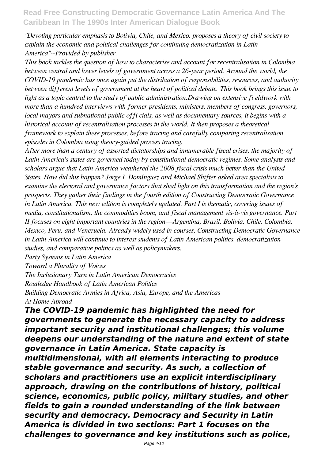*"Devoting particular emphasis to Bolivia, Chile, and Mexico, proposes a theory of civil society to explain the economic and political challenges for continuing democratization in Latin America"--Provided by publisher.*

*This book tackles the question of how to characterise and account for recentralisation in Colombia between central and lower levels of government across a 26-year period. Around the world, the COVID-19 pandemic has once again put the distribution of responsibilities, resources, and authority between different levels of government at the heart of political debate. This book brings this issue to light as a topic central to the study of public administration.Drawing on extensive fi eldwork with more than a hundred interviews with former presidents, ministers, members of congress, governors, local mayors and subnational public offi cials, as well as documentary sources, it begins with a historical account of recentralisation processes in the world. It then proposes a theoretical framework to explain these processes, before tracing and carefully comparing recentralisation episodes in Colombia using theory-guided process tracing.*

*After more than a century of assorted dictatorships and innumerable fiscal crises, the majority of Latin America's states are governed today by constitutional democratic regimes. Some analysts and scholars argue that Latin America weathered the 2008 fiscal crisis much better than the United States. How did this happen? Jorge I. Domínguez and Michael Shifter asked area specialists to examine the electoral and governance factors that shed light on this transformation and the region's prospects. They gather their findings in the fourth edition of Constructing Democratic Governance in Latin America. This new edition is completely updated. Part I is thematic, covering issues of media, constitutionalism, the commodities boom, and fiscal management vis-à-vis governance. Part II focuses on eight important countries in the region—Argentina, Brazil, Bolivia, Chile, Colombia, Mexico, Peru, and Venezuela. Already widely used in courses, Constructing Democratic Governance in Latin America will continue to interest students of Latin American politics, democratization studies, and comparative politics as well as policymakers.*

*Party Systems in Latin America*

*Toward a Plurality of Voices*

*The Inclusionary Turn in Latin American Democracies Routledge Handbook of Latin American Politics Building Democratic Armies in Africa, Asia, Europe, and the Americas At Home Abroad*

*The COVID-19 pandemic has highlighted the need for governments to generate the necessary capacity to address important security and institutional challenges; this volume deepens our understanding of the nature and extent of state governance in Latin America. State capacity is multidimensional, with all elements interacting to produce stable governance and security. As such, a collection of scholars and practitioners use an explicit interdisciplinary approach, drawing on the contributions of history, political science, economics, public policy, military studies, and other fields to gain a rounded understanding of the link between security and democracy. Democracy and Security in Latin America is divided in two sections: Part 1 focuses on the challenges to governance and key institutions such as police,*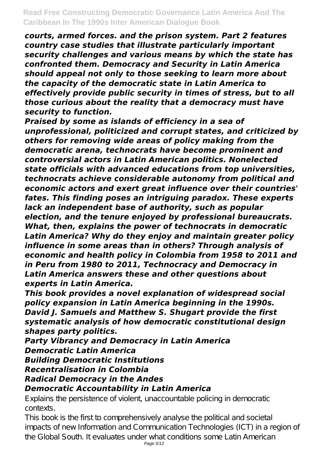*courts, armed forces. and the prison system. Part 2 features country case studies that illustrate particularly important security challenges and various means by which the state has confronted them. Democracy and Security in Latin America should appeal not only to those seeking to learn more about the capacity of the democratic state in Latin America to effectively provide public security in times of stress, but to all those curious about the reality that a democracy must have security to function.*

*Praised by some as islands of efficiency in a sea of unprofessional, politicized and corrupt states, and criticized by others for removing wide areas of policy making from the democratic arena, technocrats have become prominent and controversial actors in Latin American politics. Nonelected state officials with advanced educations from top universities, technocrats achieve considerable autonomy from political and economic actors and exert great influence over their countries' fates. This finding poses an intriguing paradox. These experts lack an independent base of authority, such as popular election, and the tenure enjoyed by professional bureaucrats. What, then, explains the power of technocrats in democratic Latin America? Why do they enjoy and maintain greater policy influence in some areas than in others? Through analysis of economic and health policy in Colombia from 1958 to 2011 and in Peru from 1980 to 2011, Technocracy and Democracy in Latin America answers these and other questions about experts in Latin America.*

*This book provides a novel explanation of widespread social policy expansion in Latin America beginning in the 1990s. David J. Samuels and Matthew S. Shugart provide the first systematic analysis of how democratic constitutional design shapes party politics.*

*Party Vibrancy and Democracy in Latin America Democratic Latin America Building Democratic Institutions Recentralisation in Colombia Radical Democracy in the Andes Democratic Accountability in Latin America*

Explains the persistence of violent, unaccountable policing in democratic contexts.

This book is the first to comprehensively analyse the political and societal impacts of new Information and Communication Technologies (ICT) in a region of the Global South. It evaluates under what conditions some Latin American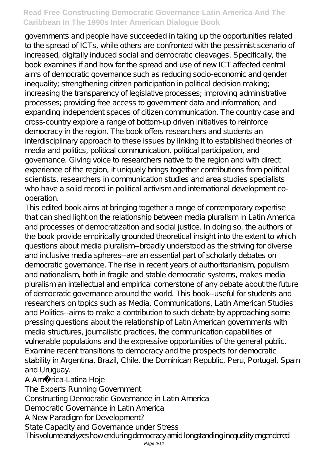governments and people have succeeded in taking up the opportunities related to the spread of ICTs, while others are confronted with the pessimist scenario of increased, digitally induced social and democratic cleavages. Specifically, the book examines if and how far the spread and use of new ICT affected central aims of democratic governance such as reducing socio-economic and gender inequality; strengthening citizen participation in political decision making; increasing the transparency of legislative processes; improving administrative processes; providing free access to government data and information; and expanding independent spaces of citizen communication. The country case and cross-country explore a range of bottom-up driven initiatives to reinforce democracy in the region. The book offers researchers and students an interdisciplinary approach to these issues by linking it to established theories of media and politics, political communication, political participation, and governance. Giving voice to researchers native to the region and with direct experience of the region, it uniquely brings together contributions from political scientists, researchers in communication studies and area studies specialists who have a solid record in political activism and international development cooperation.

This edited book aims at bringing together a range of contemporary expertise that can shed light on the relationship between media pluralism in Latin America and processes of democratization and social justice. In doing so, the authors of the book provide empirically grounded theoretical insight into the extent to which questions about media pluralism--broadly understood as the striving for diverse and inclusive media spheres--are an essential part of scholarly debates on democratic governance. The rise in recent years of authoritarianism, populism and nationalism, both in fragile and stable democratic systems, makes media pluralism an intellectual and empirical cornerstone of any debate about the future of democratic governance around the world. This book--useful for students and researchers on topics such as Media, Communications, Latin American Studies and Politics--aims to make a contribution to such debate by approaching some pressing questions about the relationship of Latin American governments with media structures, journalistic practices, the communication capabilities of vulnerable populations and the expressive opportunities of the general public. Examine recent transitions to democracy and the prospects for democratic stability in Argentina, Brazil, Chile, the Dominican Republic, Peru, Portugal, Spain and Uruguay.

A Amé rica-Latina Hoje

The Experts Running Government

Constructing Democratic Governance in Latin America

Democratic Governance in Latin America

A New Paradigm for Development?

State Capacity and Governance under Stress

This volume analyzes how enduring democracy amid longstanding inequality engendered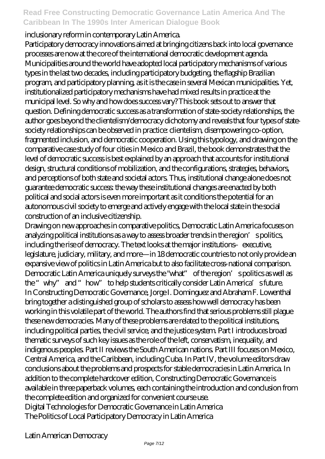### inclusionary reform in contemporary Latin America.

Participatory democracy innovations aimed at bringing citizens back into local governance processes are now at the core of the international democratic development agenda. Municipalities around the world have adopted local participatory mechanisms of various types in the last two decades, including participatory budgeting, the flagship Brazilian program, and participatory planning, as it is the case in several Mexican municipalities. Yet, institutionalized participatory mechanisms have had mixed results in practice at the municipal level. So why and how does success vary? This book sets out to answer that question. Defining democratic success as a transformation of state-society relationships, the author goes beyond the clientelism/democracy dichotomy and reveals that four types of statesociety relationships can be observed in practice: clientelism, disempowering co-option, fragmented inclusion, and democratic cooperation. Using this typology, and drawing on the comparative case study of four cities in Mexico and Brazil, the book demonstrates that the level of democratic success is best explained by an approach that accounts for institutional design, structural conditions of mobilization, and the configurations, strategies, behaviors, and perceptions of both state and societal actors. Thus, institutional change alone does not guarantee democratic success: the way these institutional changes are enacted by both political and social actors is even more important as it conditions the potential for an autonomous civil society to emerge and actively engage with the local state in the social construction of an inclusive citizenship.

Drawing on new approaches in comparative politics, Democratic Latin America focuses on analyzing political institutions as a way to assess broader trends in the region's politics, including the rise of democracy. The text looks at the major institutions–executive, legislature, judiciary, military, and more—in 18 democratic countries to not only provide an expansive view of politics in Latin America but to also facilitate cross-national comparison. Democratic Latin America uniquely surveys the "what" of the region' spolitics as well as the "why" and "how" to help students critically consider Latin America's future. In Constructing Democratic Governance, Jorge I. Dominguez and Abraham F. Lowenthal bring together a distinguished group of scholars to assess how well democracy has been working in this volatile part of the world. The authors find that serious problems still plague these new democracies. Many of these problems are related to the political institutions, including political parties, the civil service, and the justice system. Part I introduces broad thematic surveys of such key issues as the role of the left, conservatism, inequality, and indigenous peoples. Part II reviews the South American nations. Part III focuses on Mexico, Central America, and the Caribbean, including Cuba. In Part IV, the volume editors draw conclusions about the problems and prospects for stable democracies in Latin America. In addition to the complete hardcover edition, Constructing Democratic Governance is available in three paperback volumes, each containing the introduction and conclusion from the complete edition and organized for convenient course use. Digital Technologies for Democratic Governance in Latin America The Politics of Local Participatory Democracy in Latin America

Latin American Democracy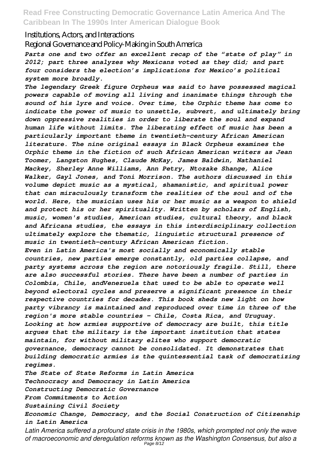#### Institutions, Actors, and Interactions

Regional Governance and Policy-Making in South America

*Parts one and two offer an excellent recap of the "state of play" in 2012; part three analyzes why Mexicans voted as they did; and part four considers the election's implications for Mexico's political system more broadly.*

*The legendary Greek figure Orpheus was said to have possessed magical powers capable of moving all living and inanimate things through the sound of his lyre and voice. Over time, the Orphic theme has come to indicate the power of music to unsettle, subvert, and ultimately bring down oppressive realities in order to liberate the soul and expand human life without limits. The liberating effect of music has been a particularly important theme in twentieth-century African American literature. The nine original essays in Black Orpheus examines the Orphic theme in the fiction of such African American writers as Jean Toomer, Langston Hughes, Claude McKay, James Baldwin, Nathaniel Mackey, Sherley Anne Williams, Ann Petry, Ntozake Shange, Alice Walker, Gayl Jones, and Toni Morrison. The authors discussed in this volume depict music as a mystical, shamanistic, and spiritual power that can miraculously transform the realities of the soul and of the world. Here, the musician uses his or her music as a weapon to shield and protect his or her spirituality. Written by scholars of English, music, women's studies, American studies, cultural theory, and black and Africana studies, the essays in this interdisciplinary collection ultimately explore the thematic, linguistic structural presence of music in twentieth-century African American fiction. Even in Latin America's most socially and economically stable countries, new parties emerge constantly, old parties collapse, and party systems across the region are notoriously fragile. Still, there are also successful stories. There have been a number of parties in Colombia, Chile, andVenezuela that used to be able to operate well beyond electoral cycles and preserve a significant presence in their respective countries for decades. This book sheds new light on how party vibrancy is maintained and reproduced over time in three of the region's more stable countries - Chile, Costa Rica, and Uruguay.*

*Looking at how armies supportive of democracy are built, this title argues that the military is the important institution that states maintain, for without military elites who support democratic governance, democracy cannot be consolidated. It demonstrates that building democratic armies is the quintessential task of democratizing regimes.*

*The State of State Reforms in Latin America Technocracy and Democracy in Latin America Constructing Democratic Governance*

*From Commitments to Action*

*Sustaining Civil Society*

*Economic Change, Democracy, and the Social Construction of Citizenship in Latin America*

*Latin America suffered a profound state crisis in the 1980s, which prompted not only the wave of macroeconomic and deregulation reforms known as the Washington Consensus, but also a* Page 8/12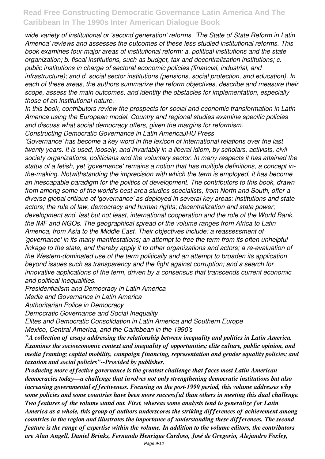*wide variety of institutional or 'second generation' reforms. 'The State of State Reform in Latin America' reviews and assesses the outcomes of these less studied institutional reforms. This book examines four major areas of institutional reform: a. political institutions and the state organization; b. fiscal institutions, such as budget, tax and decentralization institutions; c. public institutions in charge of sectoral economic policies (financial, industrial, and infrastructure); and d. social sector institutions (pensions, social protection, and education). In each of these areas, the authors summarize the reform objectives, describe and measure their scope, assess the main outcomes, and identify the obstacles for implementation, especially those of an institutional nature.*

*In this book, contributors review the prospects for social and economic transformation in Latin America using the European model. Country and regional studies examine specific policies and discuss what social democracy offers, given the margins for reformism.*

*Constructing Democratic Governance in Latin AmericaJHU Press*

*'Governance' has become a key word in the lexicon of international relations over the last twenty years. It is used, loosely, and invariably in a liberal idiom, by scholars, activists, civil society organizations, politicians and the voluntary sector. In many respects it has attained the status of a fetish, yet 'governance' remains a notion that has multiple definitions, a concept inthe-making. Notwithstanding the imprecision with which the term is employed, it has become an inescapable paradigm for the politics of development. The contributors to this book, drawn from among some of the world's best area studies specialists, from North and South, offer a diverse global critique of 'governance' as deployed in several key areas: institutions and state actors; the rule of law, democracy and human rights; decentralization and state power; development and, last but not least, international cooperation and the role of the World Bank, the IMF and NGOs. The geographical spread of the volume ranges from Africa to Latin America, from Asia to the Middle East. Their objectives include: a reassessment of 'governance' in its many manifestations; an attempt to free the term from its often unhelpful linkage to the state, and thereby apply it to other organizations and actors; a re-evaluation of the Western-dominated use of the term politically and an attempt to broaden its application beyond issues such as transparency and the fight against corruption; and a search for innovative applications of the term, driven by a consensus that transcends current economic and political inequalities.*

*Presidentialism and Democracy in Latin America*

*Media and Governance in Latin America*

*Authoritarian Police in Democracy*

*Democratic Governance and Social Inequality*

*Elites and Democratic Consolidation in Latin America and Southern Europe Mexico, Central America, and the Caribbean in the 1990's*

*"A collection of essays addressing the relationship between inequality and politics in Latin America. Examines the socioeconomic context and inequality of opportunities; elite culture, public opinion, and media framing; capital mobility, campaign financing, representation and gender equality policies; and taxation and social policies"--Provided by publisher.*

*Producing more effective governance is the greatest challenge that faces most Latin American democracies today—a challenge that involves not only strengthening democratic institutions but also increasing governmental effectiveness. Focusing on the post-1990 period, this volume addresses why some policies and some countries have been more successful than others in meeting this dual challenge. Two features of the volume stand out. First, whereas some analysts tend to generalize for Latin America as a whole, this group of authors underscores the striking differences of achievement among countries in the region and illustrates the importance of understanding these differences. The second feature is the range of expertise within the volume. In addition to the volume editors, the contributors are Alan Angell, Daniel Brinks, Fernando Henrique Cardoso, José de Gregorio, Alejandro Foxley,*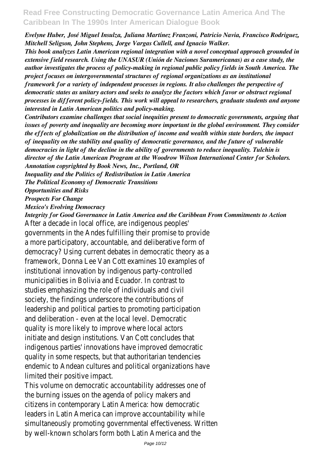*Evelyne Huber, José Miguel Insulza, Juliana Martínez Franzoni, Patricio Navia, Francisco Rodriguez, Mitchell Seligson, John Stephens, Jorge Vargas Cullell, and Ignacio Walker.*

*This book analyzes Latin American regional integration with a novel conceptual approach grounded in extensive field research. Using the UNASUR (Unión de Naciones Suramericanas) as a case study, the author investigates the process of policy-making in regional public policy fields in South America. The project focuses on intergovernmental structures of regional organizations as an institutional framework for a variety of independent processes in regions. It also challenges the perspective of democratic states as unitary actors and seeks to analyze the factors which favor or obstruct regional processes in different policy-fields. This work will appeal to researchers, graduate students and anyone interested in Latin American politics and policy-making.*

*Contributors examine challenges that social inequities present to democratic governments, arguing that issues of poverty and inequality are becoming more important in the global environment. They consider the effects of globalization on the distribution of income and wealth within state borders, the impact of inequality on the stability and quality of democratic governance, and the future of vulnerable democracies in light of the decline in the ability of governments to reduce inequality. Tulchin is director of the Latin American Program at the Woodrow Wilson International Center for Scholars. Annotation copyrighted by Book News, Inc., Portland, OR*

*Inequality and the Politics of Redistribution in Latin America*

*The Political Economy of Democratic Transitions*

*Opportunities and Risks*

*Prospects For Change*

*Mexico's Evolving Democracy*

*Integrity for Good Governance in Latin America and the Caribbean From Commitments to Action* After a decade in local office, are indigenous peoples' governments in the Andes fulfilling their promise to provide a more participatory, accountable, and deliberative form of democracy? Using current debates in democratic theory as a framework, Donna Lee Van Cott examines 10 examples of institutional innovation by indigenous party-controlled municipalities in Bolivia and Ecuador. In contrast to studies emphasizing the role of individuals and civil society, the findings underscore the contributions of leadership and political parties to promoting participation and deliberation - even at the local level. Democratic quality is more likely to improve where local actors initiate and design institutions. Van Cott concludes that indigenous parties' innovations have improved democratic quality in some respects, but that authoritarian tendencies endemic to Andean cultures and political organizations have limited their positive impact.

This volume on democratic accountability addresses one of the burning issues on the agenda of policy makers and citizens in contemporary Latin America: how democratic leaders in Latin America can improve accountability while simultaneously promoting governmental effectiveness. Written by well-known scholars form both Latin America and the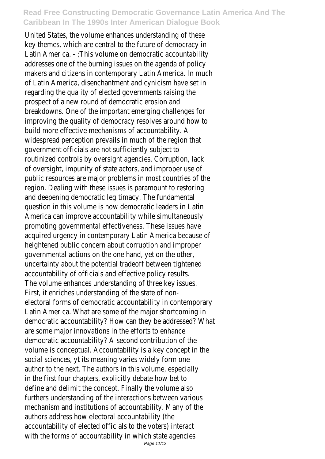United States, the volume enhances understanding of these key themes, which are central to the future of democracy in Latin America. - ;This volume on democratic accountability addresses one of the burning issues on the agenda of policy makers and citizens in contemporary Latin America. In much of Latin America, disenchantment and cynicism have set in regarding the quality of elected governments raising the prospect of a new round of democratic erosion and breakdowns. One of the important emerging challenges for improving the quality of democracy resolves around how to build more effective mechanisms of accountability. A widespread perception prevails in much of the region that government officials are not sufficiently subject to routinized controls by oversight agencies. Corruption, lack of oversight, impunity of state actors, and improper use of public resources are major problems in most countries of the region. Dealing with these issues is paramount to restoring and deepening democratic legitimacy. The fundamental question in this volume is how democratic leaders in Latin America can improve accountability while simultaneously promoting governmental effectiveness. These issues have acquired urgency in contemporary Latin America because of heightened public concern about corruption and improper governmental actions on the one hand, yet on the other, uncertainty about the potential tradeoff between tightened accountability of officials and effective policy results. The volume enhances understanding of three key issues. First, it enriches understanding of the state of nonelectoral forms of democratic accountability in contemporary Latin America. What are some of the major shortcoming in democratic accountability? How can they be addressed? What are some major innovations in the efforts to enhance democratic accountability? A second contribution of the volume is conceptual. Accountability is a key concept in the social sciences, yt its meaning varies widely form one author to the next. The authors in this volume, especially in the first four chapters, explicitly debate how bet to define and delimit the concept. Finally the volume also furthers understanding of the interactions between various mechanism and institutions of accountability. Many of the authors address how electoral accountability (the accountability of elected officials to the voters) interact with the forms of accountability in which state agencies